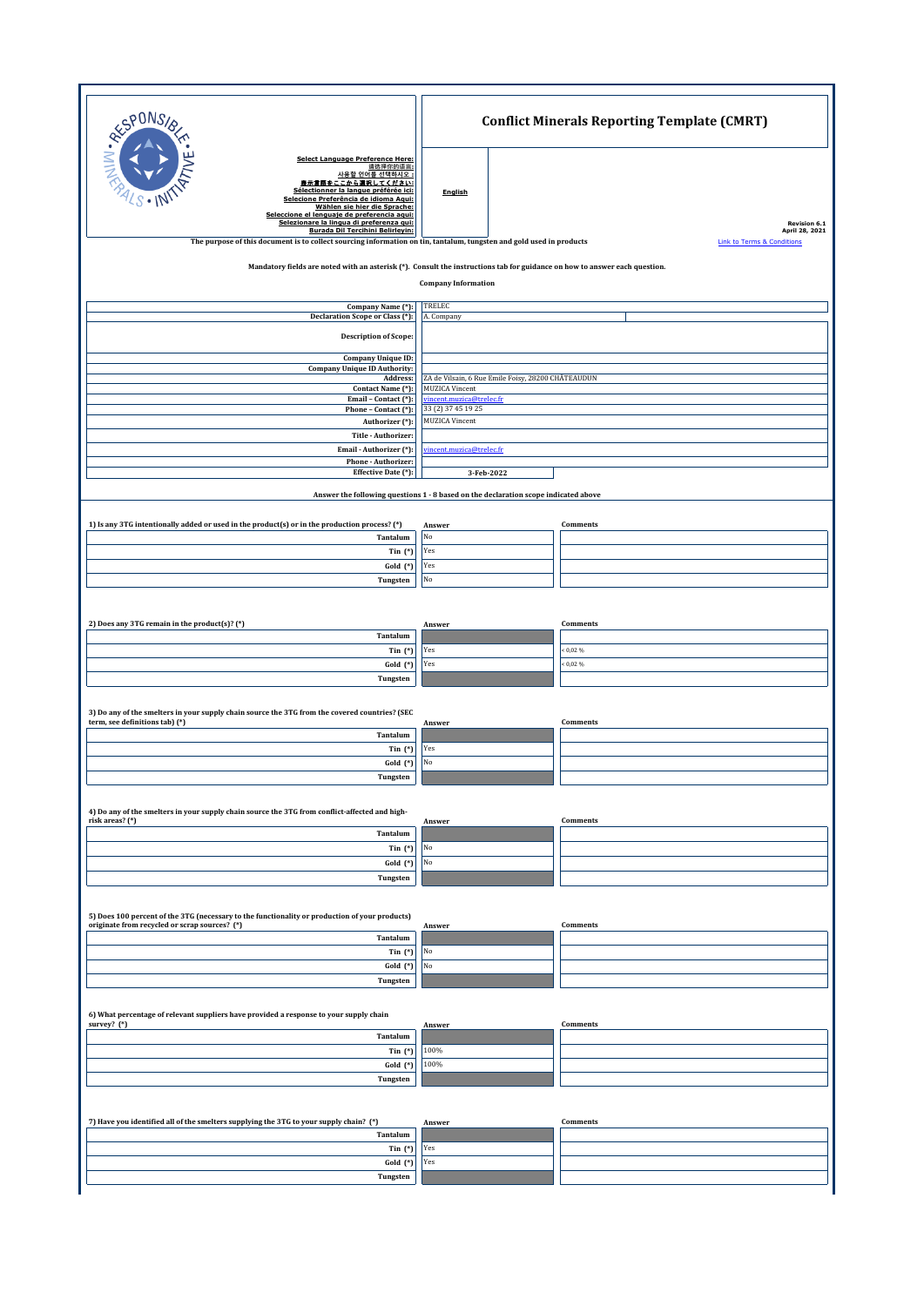|                                                                                                                                                                                                                                                                                                                                                                                                                                                                                     | <b>Conflict Minerals Reporting Template (CMRT)</b>                                  |                                                                               |  |  |
|-------------------------------------------------------------------------------------------------------------------------------------------------------------------------------------------------------------------------------------------------------------------------------------------------------------------------------------------------------------------------------------------------------------------------------------------------------------------------------------|-------------------------------------------------------------------------------------|-------------------------------------------------------------------------------|--|--|
| <b>RESPONS</b><br><b>Select Language Preference Here:</b><br>请选择你的语言:<br>사용할 언어를 선택하시오<br>豊示言語をここから選択してください<br>Sélectionner la langue préférée ici:<br>Selecione Preferência de idioma Aqui:<br>Wählen sie hier die Sprache:<br>Seleccione el lenguaje de preferencia aqui:<br>Selezionare la lingua di preferenza qui:<br>Burada Dil Tercihini Belirleyin:<br>The purpose of this document is to collect sourcing information on tin, tantalum, tungsten and gold used in products | English                                                                             | <b>Revision 6.1</b><br>April 28, 2021<br><b>Link to Terms &amp; Condition</b> |  |  |
| Mandatory fields are noted with an asterisk (*). Consult the instructions tab for guidance on how to answer each question.<br><b>Company Information</b>                                                                                                                                                                                                                                                                                                                            |                                                                                     |                                                                               |  |  |
| Company Name (*):                                                                                                                                                                                                                                                                                                                                                                                                                                                                   | TRELEC                                                                              |                                                                               |  |  |
| <b>Declaration Scope or Class (*):</b><br><b>Description of Scope:</b>                                                                                                                                                                                                                                                                                                                                                                                                              | A. Company                                                                          |                                                                               |  |  |
| <b>Company Unique ID:</b>                                                                                                                                                                                                                                                                                                                                                                                                                                                           |                                                                                     |                                                                               |  |  |
| <b>Company Unique ID Authority:</b><br>Address:                                                                                                                                                                                                                                                                                                                                                                                                                                     | ZA de Vilsain, 6 Rue Emile Foisy, 28200 CHÂTEAUDUN                                  |                                                                               |  |  |
| Contact Name (*):<br>Email - Contact (*):                                                                                                                                                                                                                                                                                                                                                                                                                                           | <b>MUZICA Vincent</b><br>vincent.muzica@trelec.fr                                   |                                                                               |  |  |
| Phone - Contact (*):                                                                                                                                                                                                                                                                                                                                                                                                                                                                | 33 (2) 37 45 19 25                                                                  |                                                                               |  |  |
| Authorizer (*):<br>Title - Authorizer:                                                                                                                                                                                                                                                                                                                                                                                                                                              | <b>MUZICA Vincent</b>                                                               |                                                                               |  |  |
| Email - Authorizer (*):                                                                                                                                                                                                                                                                                                                                                                                                                                                             | incent.muzica@trelec.fr                                                             |                                                                               |  |  |
| Phone - Authorizer:<br>Effective Date (*):                                                                                                                                                                                                                                                                                                                                                                                                                                          | 3-Feb-2022                                                                          |                                                                               |  |  |
|                                                                                                                                                                                                                                                                                                                                                                                                                                                                                     |                                                                                     |                                                                               |  |  |
|                                                                                                                                                                                                                                                                                                                                                                                                                                                                                     | Answer the following questions 1 - 8 based on the declaration scope indicated above |                                                                               |  |  |
| 1) Is any 3TG intentionally added or used in the product(s) or in the production process? (*)                                                                                                                                                                                                                                                                                                                                                                                       | Answer                                                                              | <b>Comments</b>                                                               |  |  |
| Tantalum                                                                                                                                                                                                                                                                                                                                                                                                                                                                            | $_{\rm No}$                                                                         |                                                                               |  |  |
| Tin $(*)$                                                                                                                                                                                                                                                                                                                                                                                                                                                                           | Yes                                                                                 |                                                                               |  |  |
| Gold (*)                                                                                                                                                                                                                                                                                                                                                                                                                                                                            | Yes<br>$_{\rm No}$                                                                  |                                                                               |  |  |
| Tungsten                                                                                                                                                                                                                                                                                                                                                                                                                                                                            |                                                                                     |                                                                               |  |  |
|                                                                                                                                                                                                                                                                                                                                                                                                                                                                                     |                                                                                     |                                                                               |  |  |
| 2) Does any 3TG remain in the product(s)? (*)                                                                                                                                                                                                                                                                                                                                                                                                                                       | Answer                                                                              | Comments                                                                      |  |  |
| Tantalum                                                                                                                                                                                                                                                                                                                                                                                                                                                                            |                                                                                     |                                                                               |  |  |
| Tin $(*)$<br>Gold (*)                                                                                                                                                                                                                                                                                                                                                                                                                                                               | Yes<br>Yes                                                                          | 0,02%<br>0,02%                                                                |  |  |
| Tungsten                                                                                                                                                                                                                                                                                                                                                                                                                                                                            |                                                                                     |                                                                               |  |  |
|                                                                                                                                                                                                                                                                                                                                                                                                                                                                                     |                                                                                     |                                                                               |  |  |
| 3) Do any of the smelters in your supply chain source the 3TG from the covered countries? (SEC                                                                                                                                                                                                                                                                                                                                                                                      |                                                                                     |                                                                               |  |  |
| term, see definitions tab) (*)<br>Tantalum                                                                                                                                                                                                                                                                                                                                                                                                                                          | Answer                                                                              | Comments                                                                      |  |  |
| Tin $(*)$                                                                                                                                                                                                                                                                                                                                                                                                                                                                           | Yes                                                                                 |                                                                               |  |  |
| Gold (*)                                                                                                                                                                                                                                                                                                                                                                                                                                                                            | No                                                                                  |                                                                               |  |  |
| Tungsten                                                                                                                                                                                                                                                                                                                                                                                                                                                                            |                                                                                     |                                                                               |  |  |
|                                                                                                                                                                                                                                                                                                                                                                                                                                                                                     |                                                                                     |                                                                               |  |  |
| 4) Do any of the smelters in your supply chain source the 3TG from conflict-affected and high-<br>risk areas? (*)                                                                                                                                                                                                                                                                                                                                                                   | Answer                                                                              | Comments                                                                      |  |  |
| Tantalum                                                                                                                                                                                                                                                                                                                                                                                                                                                                            |                                                                                     |                                                                               |  |  |
| Tin $(*)$<br>Gold (*)                                                                                                                                                                                                                                                                                                                                                                                                                                                               | $_{\rm No}$<br>$_{\rm No}$                                                          |                                                                               |  |  |
| Tungsten                                                                                                                                                                                                                                                                                                                                                                                                                                                                            |                                                                                     |                                                                               |  |  |
|                                                                                                                                                                                                                                                                                                                                                                                                                                                                                     |                                                                                     |                                                                               |  |  |
| 5) Does 100 percent of the 3TG (necessary to the functionality or production of your products)                                                                                                                                                                                                                                                                                                                                                                                      |                                                                                     |                                                                               |  |  |
| originate from recycled or scrap sources? (*)                                                                                                                                                                                                                                                                                                                                                                                                                                       | Answer                                                                              | Comments                                                                      |  |  |
| Tantalum<br>Tin $(*)$                                                                                                                                                                                                                                                                                                                                                                                                                                                               | No                                                                                  |                                                                               |  |  |
| Gold (*)                                                                                                                                                                                                                                                                                                                                                                                                                                                                            | $_{\rm No}$                                                                         |                                                                               |  |  |
| Tungsten                                                                                                                                                                                                                                                                                                                                                                                                                                                                            |                                                                                     |                                                                               |  |  |
|                                                                                                                                                                                                                                                                                                                                                                                                                                                                                     |                                                                                     |                                                                               |  |  |
| 6) What percentage of relevant suppliers have provided a response to your supply chain<br>survey? (*)                                                                                                                                                                                                                                                                                                                                                                               | Answer                                                                              | Comments                                                                      |  |  |
| Tantalum                                                                                                                                                                                                                                                                                                                                                                                                                                                                            |                                                                                     |                                                                               |  |  |
| Tin $(*)$                                                                                                                                                                                                                                                                                                                                                                                                                                                                           | 100%                                                                                |                                                                               |  |  |
| Gold (*)                                                                                                                                                                                                                                                                                                                                                                                                                                                                            | 100%                                                                                |                                                                               |  |  |
| Tungsten                                                                                                                                                                                                                                                                                                                                                                                                                                                                            |                                                                                     |                                                                               |  |  |
|                                                                                                                                                                                                                                                                                                                                                                                                                                                                                     |                                                                                     |                                                                               |  |  |
| 7) Have you identified all of the smelters supplying the 3TG to your supply chain? (*)                                                                                                                                                                                                                                                                                                                                                                                              | Answer                                                                              | Comments                                                                      |  |  |
| Tantalum<br>Tin $(*)$                                                                                                                                                                                                                                                                                                                                                                                                                                                               | Yes                                                                                 |                                                                               |  |  |
| Gold (*)                                                                                                                                                                                                                                                                                                                                                                                                                                                                            | Yes                                                                                 |                                                                               |  |  |
| Tungsten                                                                                                                                                                                                                                                                                                                                                                                                                                                                            |                                                                                     |                                                                               |  |  |
|                                                                                                                                                                                                                                                                                                                                                                                                                                                                                     |                                                                                     |                                                                               |  |  |